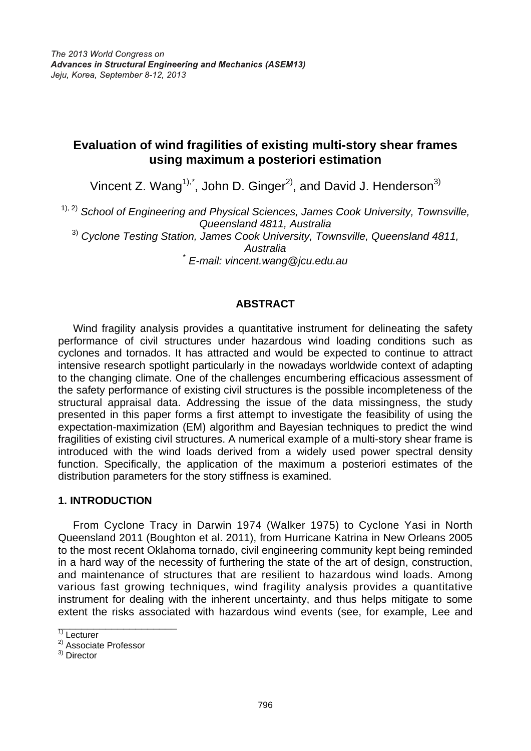# **Evaluation of wind fragilities of existing multi-story shear frames using maximum a posteriori estimation**

Vincent Z. Wang<sup>1),\*</sup>, John D. Ginger<sup>2)</sup>, and David J. Henderson<sup>3)</sup>

1), 2) *School of Engineering and Physical Sciences, James Cook University, Townsville, Queensland 4811, Australia* 3) *Cyclone Testing Station, James Cook University, Townsville, Queensland 4811, Australia* \* *E-mail: vincent.wang@jcu.edu.au*

### **ABSTRACT**

Wind fragility analysis provides a quantitative instrument for delineating the safety performance of civil structures under hazardous wind loading conditions such as cyclones and tornados. It has attracted and would be expected to continue to attract intensive research spotlight particularly in the nowadays worldwide context of adapting to the changing climate. One of the challenges encumbering efficacious assessment of the safety performance of existing civil structures is the possible incompleteness of the structural appraisal data. Addressing the issue of the data missingness, the study presented in this paper forms a first attempt to investigate the feasibility of using the expectation-maximization (EM) algorithm and Bayesian techniques to predict the wind fragilities of existing civil structures. A numerical example of a multi-story shear frame is introduced with the wind loads derived from a widely used power spectral density function. Specifically, the application of the maximum a posteriori estimates of the distribution parameters for the story stiffness is examined.

### **1. INTRODUCTION**

 From Cyclone Tracy in Darwin 1974 (Walker 1975) to Cyclone Yasi in North Queensland 2011 (Boughton et al. 2011), from Hurricane Katrina in New Orleans 2005 to the most recent Oklahoma tornado, civil engineering community kept being reminded in a hard way of the necessity of furthering the state of the art of design, construction, and maintenance of structures that are resilient to hazardous wind loads. Among various fast growing techniques, wind fragility analysis provides a quantitative instrument for dealing with the inherent uncertainty, and thus helps mitigate to some extent the risks associated with hazardous wind events (see, for example, Lee and

\_\_\_\_\_\_\_\_\_\_\_\_\_\_\_\_\_\_\_\_

 $\overline{1)}$  Lecturer

<sup>2)</sup> Associate Professor

<sup>&</sup>lt;sup>3)</sup> Director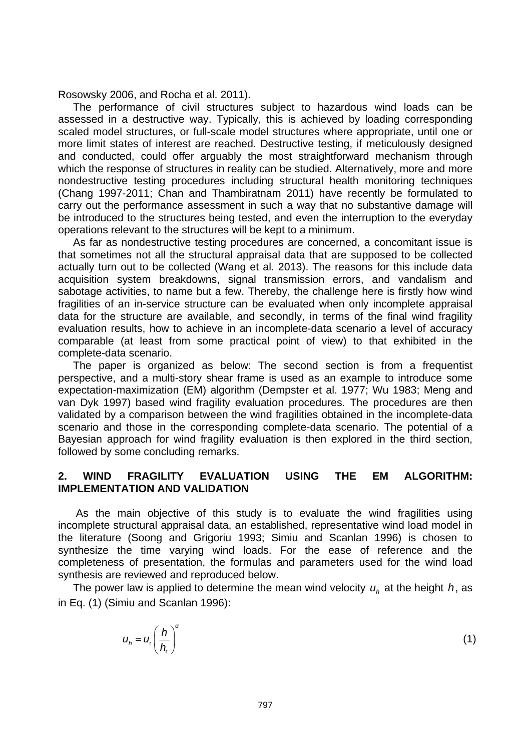Rosowsky 2006, and Rocha et al. 2011).

 The performance of civil structures subject to hazardous wind loads can be assessed in a destructive way. Typically, this is achieved by loading corresponding scaled model structures, or full-scale model structures where appropriate, until one or more limit states of interest are reached. Destructive testing, if meticulously designed and conducted, could offer arguably the most straightforward mechanism through which the response of structures in reality can be studied. Alternatively, more and more nondestructive testing procedures including structural health monitoring techniques (Chang 1997-2011; Chan and Thambiratnam 2011) have recently be formulated to carry out the performance assessment in such a way that no substantive damage will be introduced to the structures being tested, and even the interruption to the everyday operations relevant to the structures will be kept to a minimum.

 As far as nondestructive testing procedures are concerned, a concomitant issue is that sometimes not all the structural appraisal data that are supposed to be collected actually turn out to be collected (Wang et al. 2013). The reasons for this include data acquisition system breakdowns, signal transmission errors, and vandalism and sabotage activities, to name but a few. Thereby, the challenge here is firstly how wind fragilities of an in-service structure can be evaluated when only incomplete appraisal data for the structure are available, and secondly, in terms of the final wind fragility evaluation results, how to achieve in an incomplete-data scenario a level of accuracy comparable (at least from some practical point of view) to that exhibited in the complete-data scenario.

 The paper is organized as below: The second section is from a frequentist perspective, and a multi-story shear frame is used as an example to introduce some expectation-maximization (EM) algorithm (Dempster et al. 1977; Wu 1983; Meng and van Dyk 1997) based wind fragility evaluation procedures. The procedures are then validated by a comparison between the wind fragilities obtained in the incomplete-data scenario and those in the corresponding complete-data scenario. The potential of a Bayesian approach for wind fragility evaluation is then explored in the third section, followed by some concluding remarks.

#### **2. WIND FRAGILITY EVALUATION USING THE EM ALGORITHM: IMPLEMENTATION AND VALIDATION**

 As the main objective of this study is to evaluate the wind fragilities using incomplete structural appraisal data, an established, representative wind load model in the literature (Soong and Grigoriu 1993; Simiu and Scanlan 1996) is chosen to synthesize the time varying wind loads. For the ease of reference and the completeness of presentation, the formulas and parameters used for the wind load synthesis are reviewed and reproduced below.

The power law is applied to determine the mean wind velocity  $u_h$  at the height  $h$ , as in Eq. (1) (Simiu and Scanlan 1996):

$$
u_h = u_r \left(\frac{h}{h_r}\right)^{\alpha} \tag{1}
$$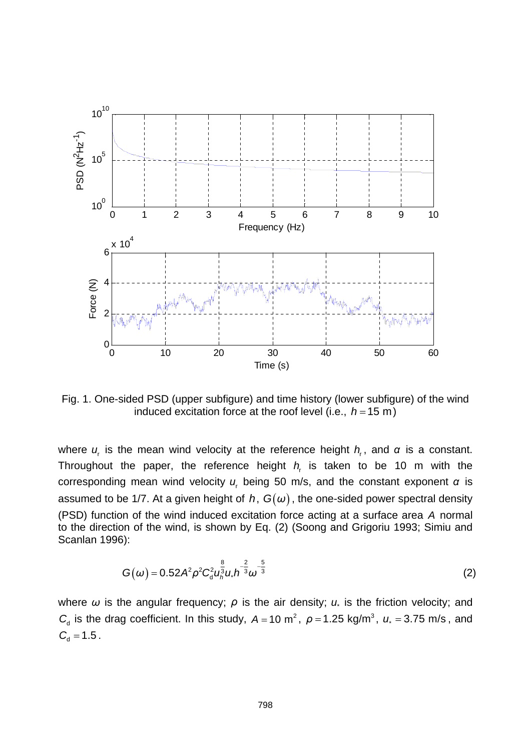

Fig. 1. One-sided PSD (upper subfigure) and time history (lower subfigure) of the wind induced excitation force at the roof level (i.e.,  $h = 15$  m)

where  $u_r$  is the mean wind velocity at the reference height  $h_r$ , and  $\alpha$  is a constant. Throughout the paper, the reference height  $h<sub>r</sub>$  is taken to be 10 m with the corresponding mean wind velocity *u*r being 50 m/s, and the constant exponent *α* is assumed to be 1/7. At a given height of *h*,  $G(\omega)$ , the one-sided power spectral density (PSD) function of the wind induced excitation force acting at a surface area *A* normal to the direction of the wind, is shown by Eq. (2) (Soong and Grigoriu 1993; Simiu and Scanlan 1996):

$$
G(\omega) = 0.52 A^2 \rho^2 C_d^2 u_h^{\frac{8}{3}} u. h^{-\frac{2}{3}} \omega^{-\frac{5}{3}}
$$
 (2)

where  $\omega$  is the angular frequency;  $\rho$  is the air density;  $u_*$  is the friction velocity; and *C*<sub>d</sub> is the drag coefficient. In this study,  $A = 10$  m<sup>2</sup>,  $\rho = 1.25$  kg/m<sup>3</sup>,  $u^2 = 3.75$  m/s, and  $C_{d} = 1.5$ .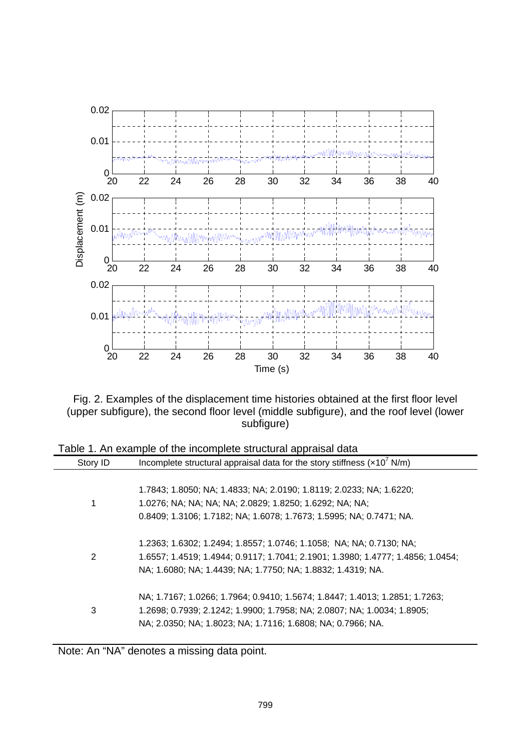

Fig. 2. Examples of the displacement time histories obtained at the first floor level (upper subfigure), the second floor level (middle subfigure), and the roof level (lower subfigure)

| rable 1. An example of the incomplete structural appliaisal data                   |
|------------------------------------------------------------------------------------|
| Incomplete structural appraisal data for the story stiffness $(x10^7 \text{ N/m})$ |
|                                                                                    |
| 1.7843; 1.8050; NA; 1.4833; NA; 2.0190; 1.8119; 2.0233; NA; 1.6220;                |
| 1.0276; NA; NA; NA; NA; 2.0829; 1.8250; 1.6292; NA; NA;                            |
| 0.8409; 1.3106; 1.7182; NA; 1.6078; 1.7673; 1.5995; NA; 0.7471; NA.                |
|                                                                                    |
| 1.2363; 1.6302; 1.2494; 1.8557; 1.0746; 1.1058; NA; NA; 0.7130; NA;                |
| 1.6557; 1.4519; 1.4944; 0.9117; 1.7041; 2.1901; 1.3980; 1.4777; 1.4856; 1.0454;    |
| NA; 1.6080; NA; 1.4439; NA; 1.7750; NA; 1.8832; 1.4319; NA.                        |
|                                                                                    |
| NA; 1.7167; 1.0266; 1.7964; 0.9410; 1.5674; 1.8447; 1.4013; 1.2851; 1.7263;        |
| 1.2698; 0.7939; 2.1242; 1.9900; 1.7958; NA; 2.0807; NA; 1.0034; 1.8905;            |
| NA; 2.0350; NA; 1.8023; NA; 1.7116; 1.6808; NA; 0.7966; NA.                        |
|                                                                                    |

Table 1. An example of the incomplete structural appraisal data

Note: An "NA" denotes a missing data point.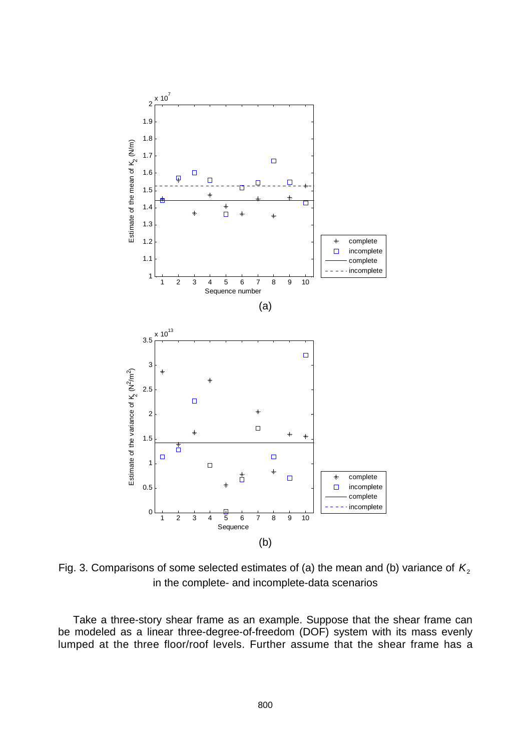

Fig. 3. Comparisons of some selected estimates of (a) the mean and (b) variance of  $K_2$ in the complete- and incomplete-data scenarios

 Take a three-story shear frame as an example. Suppose that the shear frame can be modeled as a linear three-degree-of-freedom (DOF) system with its mass evenly lumped at the three floor/roof levels. Further assume that the shear frame has a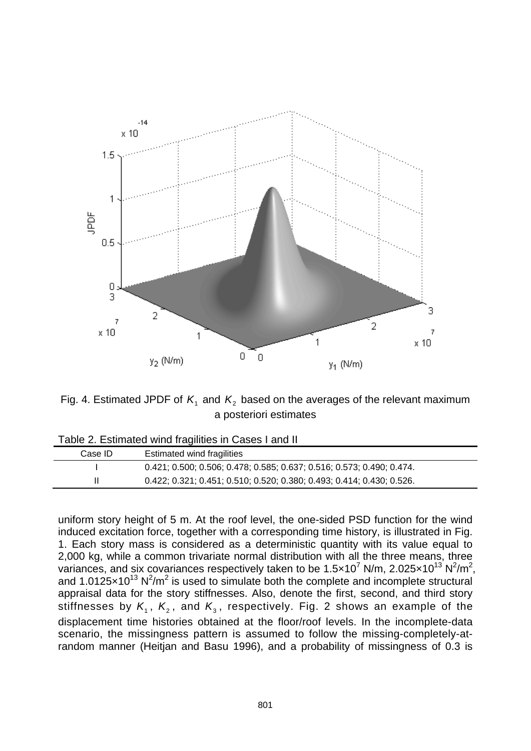

Fig. 4. Estimated JPDF of  $K_1$  and  $K_2$  based on the averages of the relevant maximum a posteriori estimates

| Table 2. Estimated wind fragilities in Cases Land II |                                                                       |  |  |
|------------------------------------------------------|-----------------------------------------------------------------------|--|--|
| Case ID                                              | Estimated wind fragilities                                            |  |  |
|                                                      | 0.421, 0.500, 0.506, 0.478, 0.585, 0.637, 0.516, 0.573, 0.490, 0.474. |  |  |

II 0.422; 0.321; 0.451; 0.510; 0.520; 0.380; 0.493; 0.414; 0.430; 0.526.

| Table 2. Estimated wind fragilities in Cases I and II |
|-------------------------------------------------------|
|-------------------------------------------------------|

uniform story height of 5 m. At the roof level, the one-sided PSD function for the wind induced excitation force, together with a corresponding time history, is illustrated in Fig. 1. Each story mass is considered as a deterministic quantity with its value equal to 2,000 kg, while a common trivariate normal distribution with all the three means, three variances, and six covariances respectively taken to be 1.5 $\times$ 10<sup>7</sup> N/m, 2.025 $\times$ 10<sup>13</sup> N<sup>2</sup>/m<sup>2</sup>, and 1.0125 $\times$ 10<sup>13</sup> N<sup>2</sup>/m<sup>2</sup> is used to simulate both the complete and incomplete structural appraisal data for the story stiffnesses. Also, denote the first, second, and third story stiffnesses by  $K_1$ ,  $K_2$ , and  $K_3$ , respectively. Fig. 2 shows an example of the displacement time histories obtained at the floor/roof levels. In the incomplete-data scenario, the missingness pattern is assumed to follow the missing-completely-atrandom manner (Heitjan and Basu 1996), and a probability of missingness of 0.3 is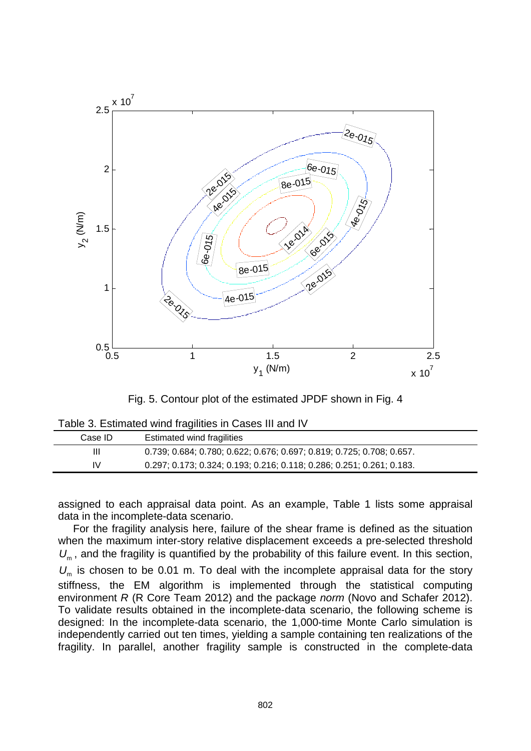

Fig. 5. Contour plot of the estimated JPDF shown in Fig. 4

| Table 3. Estimated wind fragilities in Cases III and IV |  |  |
|---------------------------------------------------------|--|--|
|---------------------------------------------------------|--|--|

| Case ID | Estimated wind fragilities                                              |
|---------|-------------------------------------------------------------------------|
| Ш       | 0.739; 0.684; 0.780; 0.622; 0.676; 0.697; 0.819; 0.725; 0.708; 0.657.   |
| IV      | $0.297, 0.173, 0.324, 0.193, 0.216, 0.118, 0.286, 0.251, 0.261, 0.183.$ |

assigned to each appraisal data point. As an example, Table 1 lists some appraisal data in the incomplete-data scenario.

 For the fragility analysis here, failure of the shear frame is defined as the situation when the maximum inter-story relative displacement exceeds a pre-selected threshold U<sub>m</sub>, and the fragility is quantified by the probability of this failure event. In this section, *U*<sub>m</sub> is chosen to be 0.01 m. To deal with the incomplete appraisal data for the story stiffness, the EM algorithm is implemented through the statistical computing environment *R* (R Core Team 2012) and the package *norm* (Novo and Schafer 2012). To validate results obtained in the incomplete-data scenario, the following scheme is designed: In the incomplete-data scenario, the 1,000-time Monte Carlo simulation is independently carried out ten times, yielding a sample containing ten realizations of the fragility. In parallel, another fragility sample is constructed in the complete-data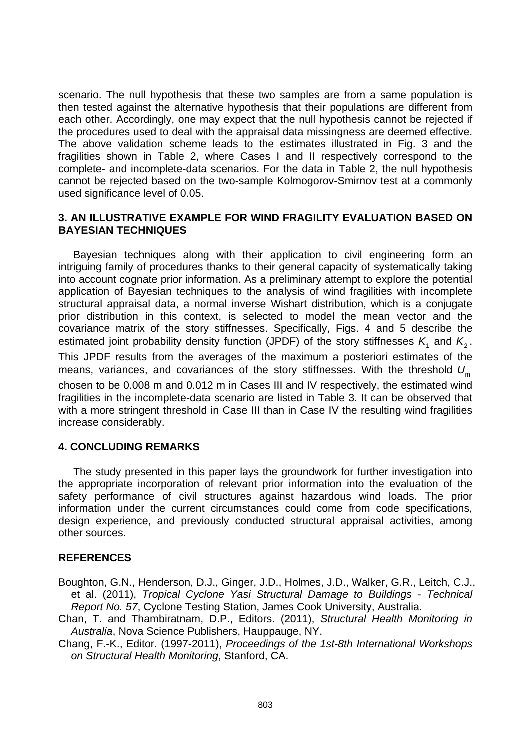scenario. The null hypothesis that these two samples are from a same population is then tested against the alternative hypothesis that their populations are different from each other. Accordingly, one may expect that the null hypothesis cannot be rejected if the procedures used to deal with the appraisal data missingness are deemed effective. The above validation scheme leads to the estimates illustrated in Fig. 3 and the fragilities shown in Table 2, where Cases I and II respectively correspond to the complete- and incomplete-data scenarios. For the data in Table 2, the null hypothesis cannot be rejected based on the two-sample Kolmogorov-Smirnov test at a commonly used significance level of 0.05.

### **3. AN ILLUSTRATIVE EXAMPLE FOR WIND FRAGILITY EVALUATION BASED ON BAYESIAN TECHNIQUES**

 Bayesian techniques along with their application to civil engineering form an intriguing family of procedures thanks to their general capacity of systematically taking into account cognate prior information. As a preliminary attempt to explore the potential application of Bayesian techniques to the analysis of wind fragilities with incomplete structural appraisal data, a normal inverse Wishart distribution, which is a conjugate prior distribution in this context, is selected to model the mean vector and the covariance matrix of the story stiffnesses. Specifically, Figs. 4 and 5 describe the estimated joint probability density function (JPDF) of the story stiffnesses  $K_1$  and  $K_2$ . This JPDF results from the averages of the maximum a posteriori estimates of the means, variances, and covariances of the story stiffnesses. With the threshold  $U_m$ chosen to be 0.008 m and 0.012 m in Cases III and IV respectively, the estimated wind fragilities in the incomplete-data scenario are listed in Table 3. It can be observed that with a more stringent threshold in Case III than in Case IV the resulting wind fragilities increase considerably.

# **4. CONCLUDING REMARKS**

 The study presented in this paper lays the groundwork for further investigation into the appropriate incorporation of relevant prior information into the evaluation of the safety performance of civil structures against hazardous wind loads. The prior information under the current circumstances could come from code specifications, design experience, and previously conducted structural appraisal activities, among other sources.

# **REFERENCES**

- Boughton, G.N., Henderson, D.J., Ginger, J.D., Holmes, J.D., Walker, G.R., Leitch, C.J., et al. (2011), *Tropical Cyclone Yasi Structural Damage to Buildings - Technical Report No. 57*, Cyclone Testing Station, James Cook University, Australia.
- Chan, T. and Thambiratnam, D.P., Editors. (2011), *Structural Health Monitoring in Australia*, Nova Science Publishers, Hauppauge, NY.

Chang, F.-K., Editor. (1997-2011), *Proceedings of the 1st-8th International Workshops on Structural Health Monitoring*, Stanford, CA.